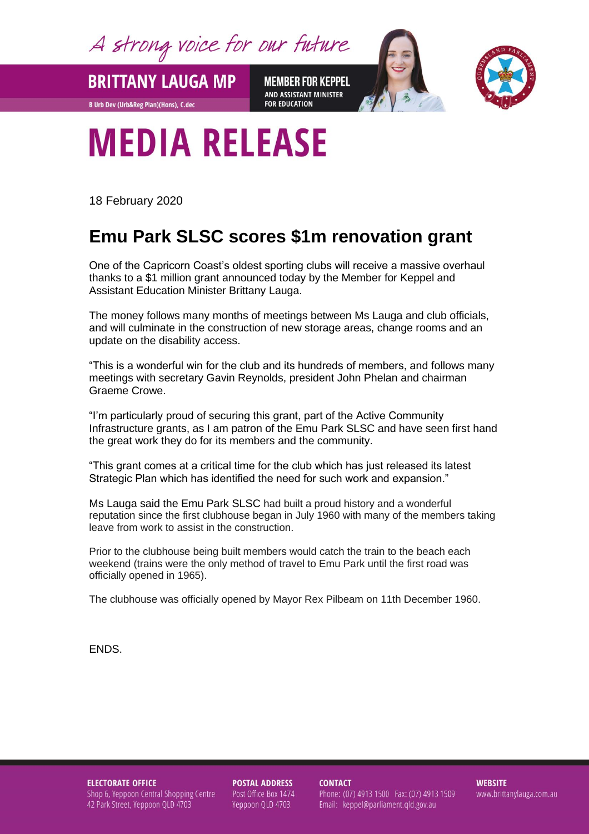A strong voice for our future

**BRITTANY LAUGA MP** 

B Urb Dev (Urb&Reg Plan)(Hons), C.dec

**MEMBER FOR KEPPEL** AND ASSISTANT MINISTER **FOR EDUCATION** 



## **MEDIA RELEASE**

18 February 2020

## **Emu Park SLSC scores \$1m renovation grant**

One of the Capricorn Coast's oldest sporting clubs will receive a massive overhaul thanks to a \$1 million grant announced today by the Member for Keppel and Assistant Education Minister Brittany Lauga.

The money follows many months of meetings between Ms Lauga and club officials, and will culminate in the construction of new storage areas, change rooms and an update on the disability access.

"This is a wonderful win for the club and its hundreds of members, and follows many meetings with secretary Gavin Reynolds, president John Phelan and chairman Graeme Crowe.

"I'm particularly proud of securing this grant, part of the Active Community Infrastructure grants, as I am patron of the Emu Park SLSC and have seen first hand the great work they do for its members and the community.

"This grant comes at a critical time for the club which has just released its latest Strategic Plan which has identified the need for such work and expansion."

Ms Lauga said the Emu Park SLSC had built a proud history and a wonderful reputation since the first clubhouse began in July 1960 with many of the members taking leave from work to assist in the construction.

Prior to the clubhouse being built members would catch the train to the beach each weekend (trains were the only method of travel to Emu Park until the first road was officially opened in 1965).

The clubhouse was officially opened by Mayor Rex Pilbeam on 11th December 1960.

ENDS.

**ELECTORATE OFFICE** Shop 6, Yeppoon Central Shopping Centre 42 Park Street, Yeppoon QLD 4703

**POSTAL ADDRESS** Post Office Box 1474 Yeppoon QLD 4703

**CONTACT** Phone: (07) 4913 1500 Fax: (07) 4913 1509 Email: keppel@parliament.qld.gov.au

**WEBSITE** www.brittanylauga.com.au